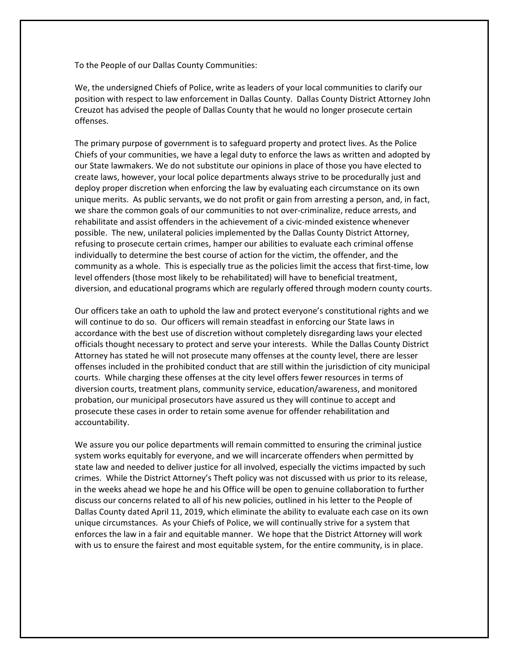To the People of our Dallas County Communities:

We, the undersigned Chiefs of Police, write as leaders of your local communities to clarify our position with respect to law enforcement in Dallas County. Dallas County District Attorney John Creuzot has advised the people of Dallas County that he would no longer prosecute certain offenses.

The primary purpose of government is to safeguard property and protect lives. As the Police Chiefs of your communities, we have a legal duty to enforce the laws as written and adopted by our State lawmakers. We do not substitute our opinions in place of those you have elected to create laws, however, your local police departments always strive to be procedurally just and deploy proper discretion when enforcing the law by evaluating each circumstance on its own unique merits. As public servants, we do not profit or gain from arresting a person, and, in fact, we share the common goals of our communities to not over-criminalize, reduce arrests, and rehabilitate and assist offenders in the achievement of a civic-minded existence whenever possible. The new, unilateral policies implemented by the Dallas County District Attorney, refusing to prosecute certain crimes, hamper our abilities to evaluate each criminal offense individually to determine the best course of action for the victim, the offender, and the community as a whole. This is especially true as the policies limit the access that first-time, low level offenders (those most likely to be rehabilitated) will have to beneficial treatment, diversion, and educational programs which are regularly offered through modern county courts.

Our officers take an oath to uphold the law and protect everyone's constitutional rights and we will continue to do so. Our officers will remain steadfast in enforcing our State laws in accordance with the best use of discretion without completely disregarding laws your elected officials thought necessary to protect and serve your interests. While the Dallas County District Attorney has stated he will not prosecute many offenses at the county level, there are lesser offenses included in the prohibited conduct that are still within the jurisdiction of city municipal courts. While charging these offenses at the city level offers fewer resources in terms of diversion courts, treatment plans, community service, education/awareness, and monitored probation, our municipal prosecutors have assured us they will continue to accept and prosecute these cases in order to retain some avenue for offender rehabilitation and accountability.

We assure you our police departments will remain committed to ensuring the criminal justice system works equitably for everyone, and we will incarcerate offenders when permitted by state law and needed to deliver justice for all involved, especially the victims impacted by such crimes. While the District Attorney's Theft policy was not discussed with us prior to its release, in the weeks ahead we hope he and his Office will be open to genuine collaboration to further discuss our concerns related to all of his new policies, outlined in his letter to the People of Dallas County dated April 11, 2019, which eliminate the ability to evaluate each case on its own unique circumstances. As your Chiefs of Police, we will continually strive for a system that enforces the law in a fair and equitable manner. We hope that the District Attorney will work with us to ensure the fairest and most equitable system, for the entire community, is in place.